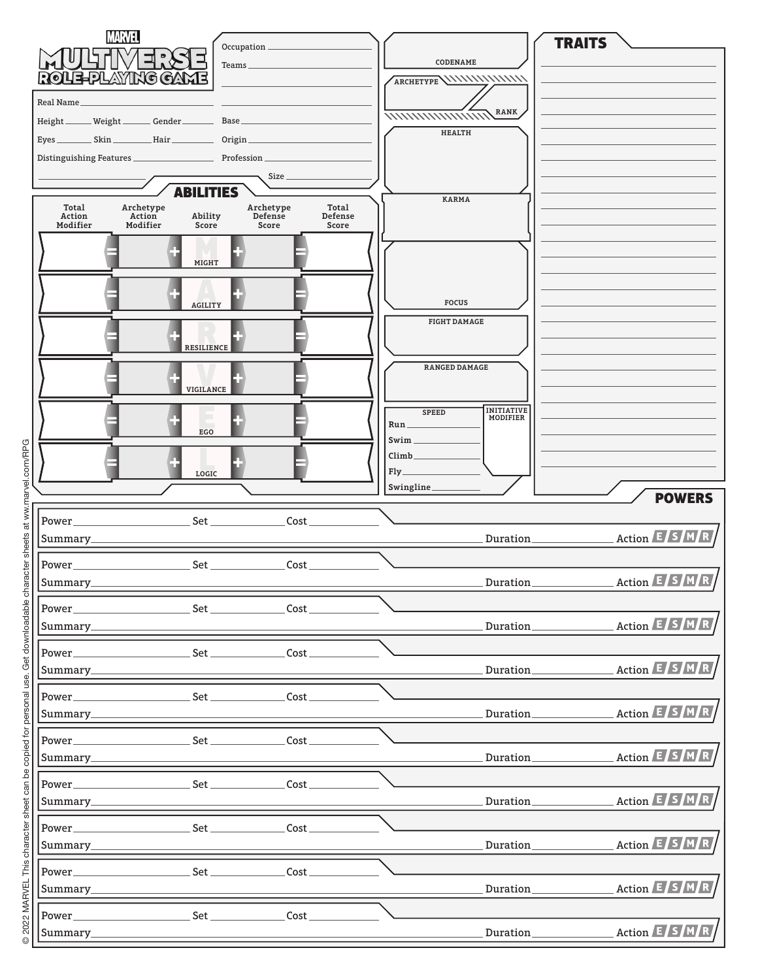| <b>MARVEL</b><br>Occupation _                                                                                                                                                                                                                                                                                                                                                 |                                                                              | <b>TRAITS</b>                                                                                                                                                                                                                                                                                                                                                                                                                                                            |
|-------------------------------------------------------------------------------------------------------------------------------------------------------------------------------------------------------------------------------------------------------------------------------------------------------------------------------------------------------------------------------|------------------------------------------------------------------------------|--------------------------------------------------------------------------------------------------------------------------------------------------------------------------------------------------------------------------------------------------------------------------------------------------------------------------------------------------------------------------------------------------------------------------------------------------------------------------|
| Teams_                                                                                                                                                                                                                                                                                                                                                                        | CODENAME                                                                     |                                                                                                                                                                                                                                                                                                                                                                                                                                                                          |
| ROUE-PLAYING GAM                                                                                                                                                                                                                                                                                                                                                              |                                                                              |                                                                                                                                                                                                                                                                                                                                                                                                                                                                          |
| Real Name_                                                                                                                                                                                                                                                                                                                                                                    | <b>RANK</b>                                                                  |                                                                                                                                                                                                                                                                                                                                                                                                                                                                          |
| Height ______ Weight _______ Gender ________ Base _                                                                                                                                                                                                                                                                                                                           | <i><b>MMMMMMMW</b></i><br><b>HEALTH</b>                                      |                                                                                                                                                                                                                                                                                                                                                                                                                                                                          |
|                                                                                                                                                                                                                                                                                                                                                                               |                                                                              |                                                                                                                                                                                                                                                                                                                                                                                                                                                                          |
| Size                                                                                                                                                                                                                                                                                                                                                                          |                                                                              |                                                                                                                                                                                                                                                                                                                                                                                                                                                                          |
| <b>ABILITIES</b>                                                                                                                                                                                                                                                                                                                                                              | <b>KARMA</b>                                                                 |                                                                                                                                                                                                                                                                                                                                                                                                                                                                          |
| Total<br>Archetype<br>Archetype<br>Total<br>Action<br>Defense<br>Action<br>Defense<br>Ability<br>Modifier<br>Modifier<br>Score<br>Score<br>Score                                                                                                                                                                                                                              |                                                                              |                                                                                                                                                                                                                                                                                                                                                                                                                                                                          |
|                                                                                                                                                                                                                                                                                                                                                                               |                                                                              |                                                                                                                                                                                                                                                                                                                                                                                                                                                                          |
| <b>MIGHT</b>                                                                                                                                                                                                                                                                                                                                                                  |                                                                              |                                                                                                                                                                                                                                                                                                                                                                                                                                                                          |
| <b>AGILITY</b>                                                                                                                                                                                                                                                                                                                                                                | <b>FOCUS</b>                                                                 |                                                                                                                                                                                                                                                                                                                                                                                                                                                                          |
|                                                                                                                                                                                                                                                                                                                                                                               | <b>FIGHT DAMAGE</b>                                                          |                                                                                                                                                                                                                                                                                                                                                                                                                                                                          |
| <b>RESILIENCE</b>                                                                                                                                                                                                                                                                                                                                                             | <b>RANGED DAMAGE</b>                                                         |                                                                                                                                                                                                                                                                                                                                                                                                                                                                          |
| VIGILANCE                                                                                                                                                                                                                                                                                                                                                                     |                                                                              |                                                                                                                                                                                                                                                                                                                                                                                                                                                                          |
|                                                                                                                                                                                                                                                                                                                                                                               | <b>INITIATIVE</b><br><b>SPEED</b><br><b>MODIFIER</b><br>$Run$ <sub>___</sub> |                                                                                                                                                                                                                                                                                                                                                                                                                                                                          |
| EG <sub>O</sub>                                                                                                                                                                                                                                                                                                                                                               | Swim                                                                         |                                                                                                                                                                                                                                                                                                                                                                                                                                                                          |
| LOGIC                                                                                                                                                                                                                                                                                                                                                                         | $Climb$ <sub>____</sub><br>$Fly$ <sub>_____</sub>                            |                                                                                                                                                                                                                                                                                                                                                                                                                                                                          |
|                                                                                                                                                                                                                                                                                                                                                                               | Swingline_                                                                   |                                                                                                                                                                                                                                                                                                                                                                                                                                                                          |
|                                                                                                                                                                                                                                                                                                                                                                               |                                                                              |                                                                                                                                                                                                                                                                                                                                                                                                                                                                          |
|                                                                                                                                                                                                                                                                                                                                                                               |                                                                              | <b>POWERS</b>                                                                                                                                                                                                                                                                                                                                                                                                                                                            |
| Cost.<br>Power_<br>Summary_                                                                                                                                                                                                                                                                                                                                                   | Duration_                                                                    | Action E S M R<br>$\label{eq:2.1} \frac{1}{\sqrt{2}}\left(\frac{1}{\sqrt{2}}\right)^{2} \left(\frac{1}{\sqrt{2}}\right)^{2} \left(\frac{1}{\sqrt{2}}\right)^{2} \left(\frac{1}{\sqrt{2}}\right)^{2} \left(\frac{1}{\sqrt{2}}\right)^{2} \left(\frac{1}{\sqrt{2}}\right)^{2} \left(\frac{1}{\sqrt{2}}\right)^{2} \left(\frac{1}{\sqrt{2}}\right)^{2} \left(\frac{1}{\sqrt{2}}\right)^{2} \left(\frac{1}{\sqrt{2}}\right)^{2} \left(\frac{1}{\sqrt{2}}\right)^{2} \left(\$ |
|                                                                                                                                                                                                                                                                                                                                                                               |                                                                              |                                                                                                                                                                                                                                                                                                                                                                                                                                                                          |
| Set.<br>Cost<br>Power_<br>Summary_                                                                                                                                                                                                                                                                                                                                            | Duration_                                                                    | Action E S M R                                                                                                                                                                                                                                                                                                                                                                                                                                                           |
|                                                                                                                                                                                                                                                                                                                                                                               |                                                                              |                                                                                                                                                                                                                                                                                                                                                                                                                                                                          |
| Summary___                                                                                                                                                                                                                                                                                                                                                                    | Duration_                                                                    | Action E S M R                                                                                                                                                                                                                                                                                                                                                                                                                                                           |
| $Set \begin{picture}(150,10) \put(0,0){\vector(1,0){100}} \put(15,0){\vector(1,0){100}} \put(15,0){\vector(1,0){100}} \put(15,0){\vector(1,0){100}} \put(15,0){\vector(1,0){100}} \put(15,0){\vector(1,0){100}} \put(15,0){\vector(1,0){100}} \put(15,0){\vector(1,0){100}} \put(15,0){\vector(1,0){100}} \put(15,0){\vector(1,0){100}} \put(15,0){\vector(1,0){100$<br>Power |                                                                              |                                                                                                                                                                                                                                                                                                                                                                                                                                                                          |
| Summary_                                                                                                                                                                                                                                                                                                                                                                      | Duration_                                                                    | Action E S M R                                                                                                                                                                                                                                                                                                                                                                                                                                                           |
| Power<br>$Set \begin{picture}(150,10) \put(0,0){\vector(1,0){100}} \put(15,0){\vector(1,0){100}} \put(15,0){\vector(1,0){100}} \put(15,0){\vector(1,0){100}} \put(15,0){\vector(1,0){100}} \put(15,0){\vector(1,0){100}} \put(15,0){\vector(1,0){100}} \put(15,0){\vector(1,0){100}} \put(15,0){\vector(1,0){100}} \put(15,0){\vector(1,0){100}} \put(15,0){\vector(1,0){100$ |                                                                              |                                                                                                                                                                                                                                                                                                                                                                                                                                                                          |
| Summary_                                                                                                                                                                                                                                                                                                                                                                      |                                                                              | Action E S M R<br>Duration                                                                                                                                                                                                                                                                                                                                                                                                                                               |
| Power_<br>$\overline{\phantom{a}}$ Cost<br>Set                                                                                                                                                                                                                                                                                                                                |                                                                              |                                                                                                                                                                                                                                                                                                                                                                                                                                                                          |
| Summary_                                                                                                                                                                                                                                                                                                                                                                      |                                                                              | Action E S M R<br>Duration                                                                                                                                                                                                                                                                                                                                                                                                                                               |
| Power__<br>Set<br>Cost_                                                                                                                                                                                                                                                                                                                                                       |                                                                              |                                                                                                                                                                                                                                                                                                                                                                                                                                                                          |
| Summary_                                                                                                                                                                                                                                                                                                                                                                      |                                                                              | Action E S M R<br>Duration                                                                                                                                                                                                                                                                                                                                                                                                                                               |
| Set<br>Power<br>Cost                                                                                                                                                                                                                                                                                                                                                          |                                                                              |                                                                                                                                                                                                                                                                                                                                                                                                                                                                          |
| Summary_                                                                                                                                                                                                                                                                                                                                                                      | Duration_                                                                    | Action E S M R                                                                                                                                                                                                                                                                                                                                                                                                                                                           |
| Set<br>Cost                                                                                                                                                                                                                                                                                                                                                                   |                                                                              |                                                                                                                                                                                                                                                                                                                                                                                                                                                                          |
| Summary_                                                                                                                                                                                                                                                                                                                                                                      | Duration_                                                                    | Action E S M R                                                                                                                                                                                                                                                                                                                                                                                                                                                           |
| Power_                                                                                                                                                                                                                                                                                                                                                                        |                                                                              | Action E S M R                                                                                                                                                                                                                                                                                                                                                                                                                                                           |